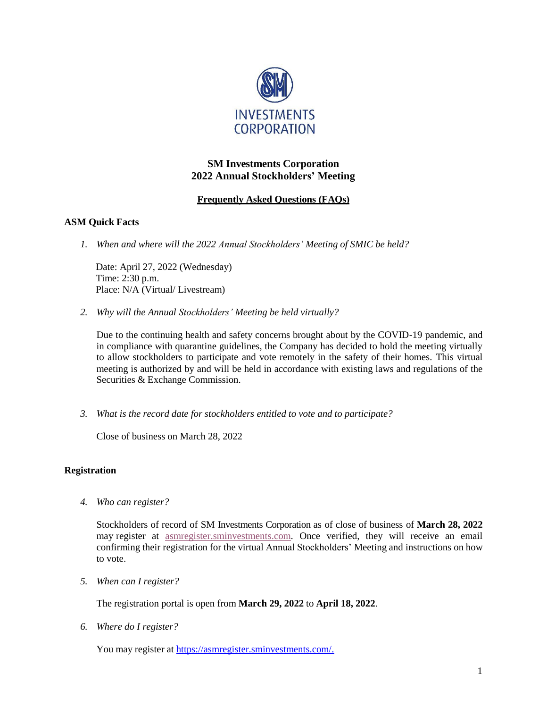

# **SM Investments Corporation 2022 Annual Stockholders' Meeting**

# **Frequently Asked Questions (FAQs)**

## **ASM Quick Facts**

*1. When and where will the 2022 Annual Stockholders' Meeting of SMIC be held?*

Date: April 27, 2022 (Wednesday) Time: 2:30 p.m. Place: N/A (Virtual/ Livestream)

*2. Why will the Annual Stockholders' Meeting be held virtually?*

Due to the continuing health and safety concerns brought about by the COVID-19 pandemic, and in compliance with quarantine guidelines, the Company has decided to hold the meeting virtually to allow stockholders to participate and vote remotely in the safety of their homes. This virtual meeting is authorized by and will be held in accordance with existing laws and regulations of the Securities & Exchange Commission.

*3. What is the record date for stockholders entitled to vote and to participate?*

Close of business on March 28, 2022

### **Registration**

*4. Who can register?*

Stockholders of record of SM Investments Corporation as of close of business of **March 28, 2022** may register at [asmregister.sminvestments.com. O](https://asmregister.smprime.com/)nce verified, they will receive an email confirming their registration for the virtual Annual Stockholders' Meeting and instructions on how to vote.

*5. When can I register?*

The registration portal is open from **March 29, 2022** to **April 18, 2022**.

*6. Where do I register?*

You may register at [https://asmregister.sminvestments.com/.](https://asmregister.sminvestments.com/)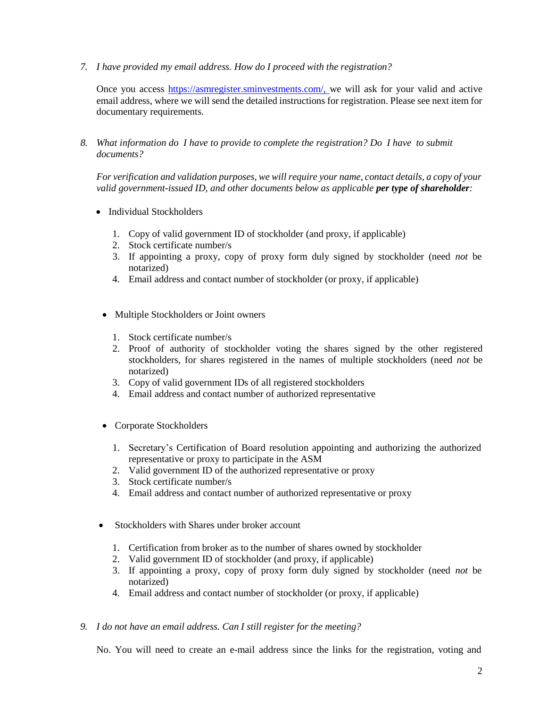*7. I have provided my email address. How do I proceed with the registration?*

Once you access [https://asmregister.sminvestments.com/, w](https://asmregister.sminvestments.com/,)e will ask for your valid and active email address, where we will send the detailed instructions for registration. Please see next item for documentary requirements.

*8. What information do I have to provide to complete the registration? Do I have to submit documents?*

*For verification and validation purposes, we will require your name, contact details, a copy of your valid government-issued ID, and other documents below as applicable per type of shareholder:*

- Individual Stockholders
	- 1. Copy of valid government ID of stockholder (and proxy, if applicable)
	- 2. Stock certificate number/s
	- 3. If appointing a proxy, copy of proxy form duly signed by stockholder (need *not* be notarized)
	- 4. Email address and contact number of stockholder (or proxy, if applicable)
	- Multiple Stockholders or Joint owners
		- 1. Stock certificate number/s
		- 2. Proof of authority of stockholder voting the shares signed by the other registered stockholders, for shares registered in the names of multiple stockholders (need *not* be notarized)
		- 3. Copy of valid government IDs of all registered stockholders
		- 4. Email address and contact number of authorized representative
	- Corporate Stockholders
		- 1. Secretary's Certification of Board resolution appointing and authorizing the authorized representative or proxy to participate in the ASM
		- 2. Valid government ID of the authorized representative or proxy
		- 3. Stock certificate number/s
		- 4. Email address and contact number of authorized representative or proxy
- Stockholders with Shares under broker account
	- 1. Certification from broker as to the number of shares owned by stockholder
	- 2. Valid government ID of stockholder (and proxy, if applicable)
	- 3. If appointing a proxy, copy of proxy form duly signed by stockholder (need *not* be notarized)
	- 4. Email address and contact number of stockholder (or proxy, if applicable)
- *9. I do not have an email address. Can I still register for the meeting?*

No. You will need to create an e-mail address since the links for the registration, voting and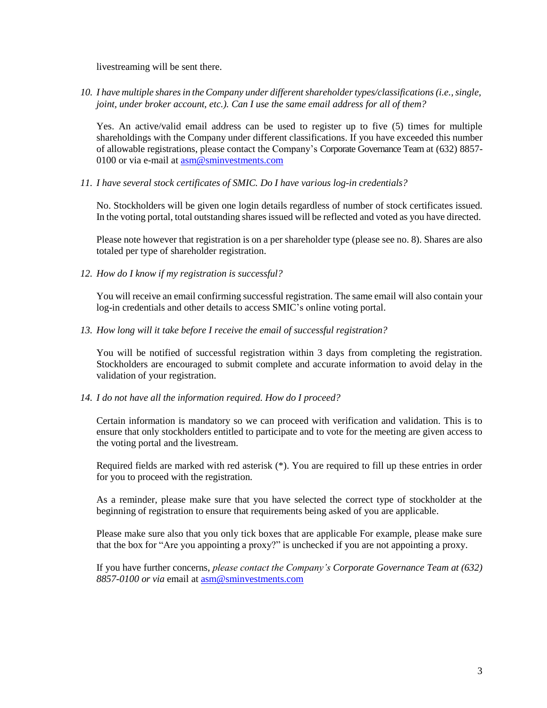livestreaming will be sent there.

*10. I have multiple sharesin theCompany under different shareholdertypes/classifications(i.e.,single, joint, under broker account, etc.). Can I use the same email address for all of them?*

Yes. An active/valid email address can be used to register up to five (5) times for multiple shareholdings with the Company under different classifications. If you have exceeded this number of allowable registrations, please contact the Company's Corporate Governance Team at (632) 8857- 0100 or via e-mail at  $\overline{\text{asm@smin} }$ vestments.com

*11. I have several stock certificates of SMIC. Do I have various log-in credentials?*

No. Stockholders will be given one login details regardless of number of stock certificates issued. In the voting portal, total outstanding shares issued will be reflected and voted as you have directed.

Please note however that registration is on a per shareholder type (please see no. 8). Shares are also totaled per type of shareholder registration.

*12. How do I know if my registration is successful?*

You will receive an email confirming successful registration. The same email will also contain your log-in credentials and other details to access SMIC's online voting portal.

*13. How long will it take before I receive the email of successful registration?*

You will be notified of successful registration within 3 days from completing the registration. Stockholders are encouraged to submit complete and accurate information to avoid delay in the validation of your registration.

### *14. I do not have all the information required. How do I proceed?*

Certain information is mandatory so we can proceed with verification and validation. This is to ensure that only stockholders entitled to participate and to vote for the meeting are given access to the voting portal and the livestream.

Required fields are marked with red asterisk (\*). You are required to fill up these entries in order for you to proceed with the registration.

As a reminder, please make sure that you have selected the correct type of stockholder at the beginning of registration to ensure that requirements being asked of you are applicable.

Please make sure also that you only tick boxes that are applicable For example, please make sure that the box for "Are you appointing a proxy?" is unchecked if you are not appointing a proxy.

If you have further concerns, *please contact the Company's Corporate Governance Team at (632) 8857-0100 or via* email at [asm@sminvestments.com](mailto:asm@sminvestments.com)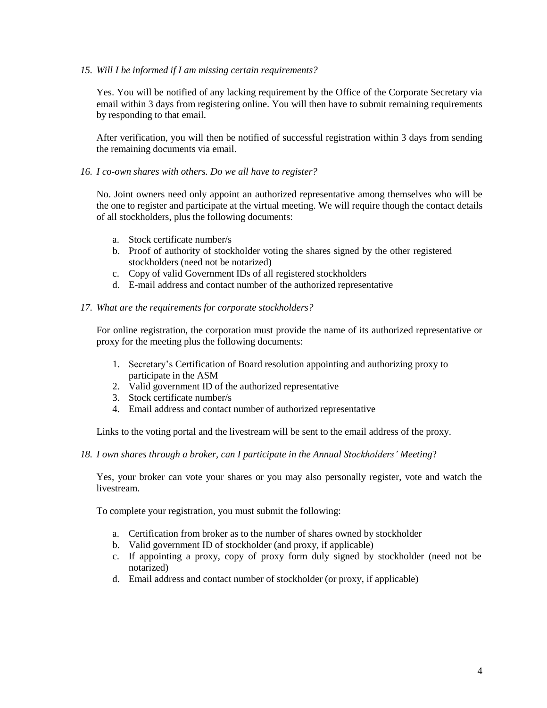### *15. Will I be informed if I am missing certain requirements?*

Yes. You will be notified of any lacking requirement by the Office of the Corporate Secretary via email within 3 days from registering online. You will then have to submit remaining requirements by responding to that email.

After verification, you will then be notified of successful registration within 3 days from sending the remaining documents via email.

### *16. I co-own shares with others. Do we all have to register?*

No. Joint owners need only appoint an authorized representative among themselves who will be the one to register and participate at the virtual meeting. We will require though the contact details of all stockholders, plus the following documents:

- a. Stock certificate number/s
- b. Proof of authority of stockholder voting the shares signed by the other registered stockholders (need not be notarized)
- c. Copy of valid Government IDs of all registered stockholders
- d. E-mail address and contact number of the authorized representative

### *17. What are the requirements for corporate stockholders?*

For online registration, the corporation must provide the name of its authorized representative or proxy for the meeting plus the following documents:

- 1. Secretary's Certification of Board resolution appointing and authorizing proxy to participate in the ASM
- 2. Valid government ID of the authorized representative
- 3. Stock certificate number/s
- 4. Email address and contact number of authorized representative

Links to the voting portal and the livestream will be sent to the email address of the proxy.

*18. I own shares through a broker, can I participate in the Annual Stockholders' Meeting*?

Yes, your broker can vote your shares or you may also personally register, vote and watch the livestream.

To complete your registration, you must submit the following:

- a. Certification from broker as to the number of shares owned by stockholder
- b. Valid government ID of stockholder (and proxy, if applicable)
- c. If appointing a proxy, copy of proxy form duly signed by stockholder (need not be notarized)
- d. Email address and contact number of stockholder (or proxy, if applicable)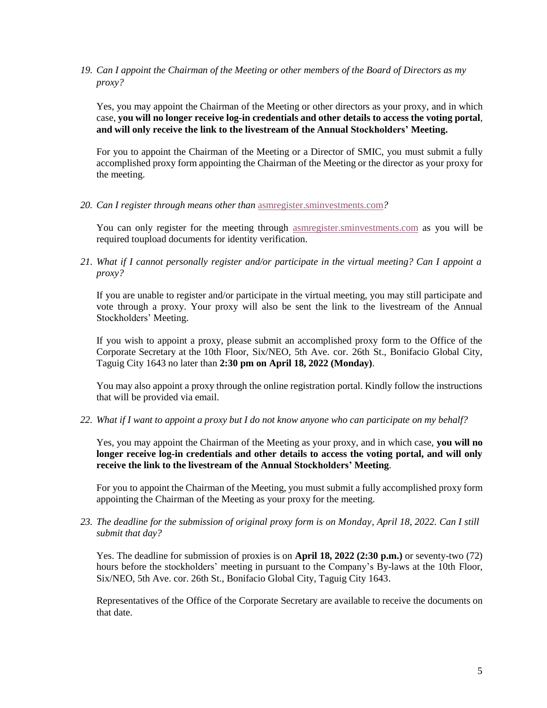*19. Can I appoint the Chairman of the Meeting or other members of the Board of Directors as my proxy?*

Yes, you may appoint the Chairman of the Meeting or other directors as your proxy, and in which case, **you will no longer receive log-in credentials and other details to access the voting portal**, **and will only receive the link to the livestream of the Annual Stockholders' Meeting.**

For you to appoint the Chairman of the Meeting or a Director of SMIC, you must submit a fully accomplished proxy form appointing the Chairman of the Meeting or the director as your proxy for the meeting.

*20. Can I register through means other than* [asmregister.sminvestments.com](https://asmregister.smprime.com/)*?*

You can only register for the meeting through [asmregister.sminvestments.com](https://asmregister.smprime.com/) as you will be required toupload documents for identity verification.

*21. What if I cannot personally register and/or participate in the virtual meeting? Can I appoint a proxy?*

If you are unable to register and/or participate in the virtual meeting, you may still participate and vote through a proxy. Your proxy will also be sent the link to the livestream of the Annual Stockholders' Meeting.

If you wish to appoint a proxy, please submit an accomplished proxy form to the Office of the Corporate Secretary at the 10th Floor, Six/NEO, 5th Ave. cor. 26th St., Bonifacio Global City, Taguig City 1643 no later than **2:30 pm on April 18, 2022 (Monday)**.

You may also appoint a proxy through the online registration portal. Kindly follow the instructions that will be provided via email.

*22. What if I want to appoint a proxy but I do not know anyone who can participate on my behalf?*

Yes, you may appoint the Chairman of the Meeting as your proxy, and in which case, **you will no longer receive log-in credentials and other details to access the voting portal, and will only receive the link to the livestream of the Annual Stockholders' Meeting**.

For you to appoint the Chairman of the Meeting, you must submit a fully accomplished proxy form appointing the Chairman of the Meeting as your proxy for the meeting.

23. The deadline for the submission of original proxy form is on Monday, April 18, 2022. Can I still *submit that day?*

Yes. The deadline for submission of proxies is on **April 18, 2022 (2:30 p.m.)** or seventy-two (72) hours before the stockholders' meeting in pursuant to the Company's By-laws at the 10th Floor, Six/NEO, 5th Ave. cor. 26th St., Bonifacio Global City, Taguig City 1643.

Representatives of the Office of the Corporate Secretary are available to receive the documents on that date.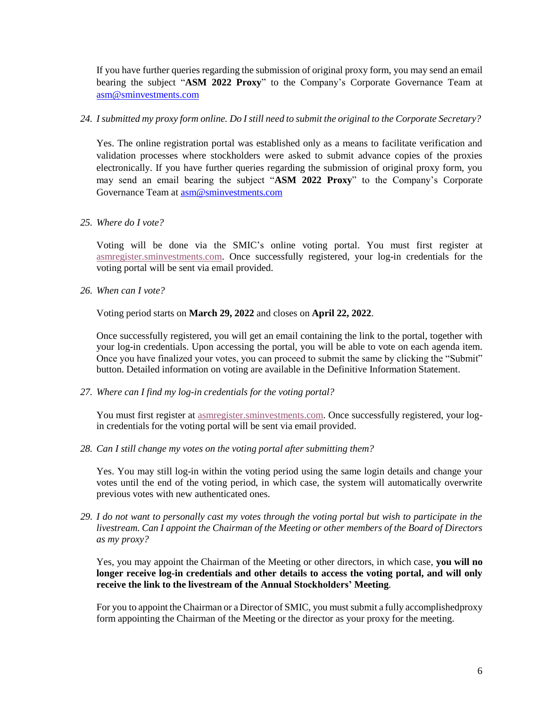If you have further queries regarding the submission of original proxy form, you may send an email bearing the subject "**ASM 2022 Proxy**" to the Company's Corporate Governance Team at [asm@sminvestments.com](mailto:asm@sminvestments.com)

### 24. I submitted my proxy form online. Do I still need to submit the original to the Corporate Secretary?

Yes. The online registration portal was established only as a means to facilitate verification and validation processes where stockholders were asked to submit advance copies of the proxies electronically. If you have further queries regarding the submission of original proxy form, you may send an email bearing the subject "**ASM 2022 Proxy**" to the Company's Corporate Governance Team at [asm@sminvestments.com](mailto:asm@sminvestments.com)

## *25. Where do I vote?*

Voting will be done via the SMIC's online voting portal. You must first register at [asmregister.sminvestments.com.](https://asmregister.smprime.com/) Once successfully registered, your log-in credentials for the voting portal will be sent via email provided.

*26. When can I vote?*

Voting period starts on **March 29, 2022** and closes on **April 22, 2022**.

Once successfully registered, you will get an email containing the link to the portal, together with your log-in credentials. Upon accessing the portal, you will be able to vote on each agenda item. Once you have finalized your votes, you can proceed to submit the same by clicking the "Submit" button. Detailed information on voting are available in the Definitive Information Statement.

*27. Where can I find my log-in credentials for the voting portal?*

You must first register at [asmregister.sminvestments.com.](https://asmregister.smprime.com/) Once successfully registered, your login credentials for the voting portal will be sent via email provided.

*28. Can I still change my votes on the voting portal after submitting them?*

Yes. You may still log-in within the voting period using the same login details and change your votes until the end of the voting period, in which case, the system will automatically overwrite previous votes with new authenticated ones.

*29. I do not want to personally cast my votes through the voting portal but wish to participate in the livestream. Can I appoint the Chairman of the Meeting or other members of the Board of Directors as my proxy?*

Yes, you may appoint the Chairman of the Meeting or other directors, in which case, **you will no longer receive log-in credentials and other details to access the voting portal, and will only receive the link to the livestream of the Annual Stockholders' Meeting**.

For you to appoint the Chairman or a Director of SMIC, you mustsubmit a fully accomplishedproxy form appointing the Chairman of the Meeting or the director as your proxy for the meeting.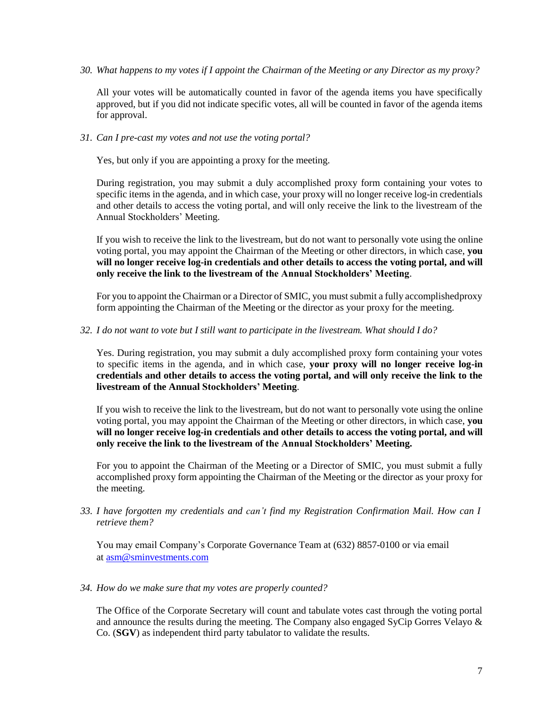*30. What happens to my votes if I appoint the Chairman of the Meeting or any Director as my proxy?*

All your votes will be automatically counted in favor of the agenda items you have specifically approved, but if you did not indicate specific votes, all will be counted in favor of the agenda items for approval.

*31. Can I pre-cast my votes and not use the voting portal?*

Yes, but only if you are appointing a proxy for the meeting.

During registration, you may submit a duly accomplished proxy form containing your votes to specific items in the agenda, and in which case, your proxy will no longer receive log-in credentials and other details to access the voting portal, and will only receive the link to the livestream of the Annual Stockholders' Meeting.

If you wish to receive the link to the livestream, but do not want to personally vote using the online voting portal, you may appoint the Chairman of the Meeting or other directors, in which case, **you will no longer receive log-in credentials and other details to access the voting portal, and will only receive the link to the livestream of the Annual Stockholders' Meeting**.

For you to appoint the Chairman or a Director of SMIC, you must submit a fully accomplishedproxy form appointing the Chairman of the Meeting or the director as your proxy for the meeting.

*32. I do not want to vote but I still want to participate in the livestream. What should I do?*

Yes. During registration, you may submit a duly accomplished proxy form containing your votes to specific items in the agenda, and in which case, **your proxy will no longer receive log-in credentials and other details to access the voting portal, and will only receive the link to the livestream of the Annual Stockholders' Meeting**.

If you wish to receive the link to the livestream, but do not want to personally vote using the online voting portal, you may appoint the Chairman of the Meeting or other directors, in which case, **you will no longer receive log-in credentials and other details to access the voting portal, and will only receive the link to the livestream of the Annual Stockholders' Meeting.**

For you to appoint the Chairman of the Meeting or a Director of SMIC, you must submit a fully accomplished proxy form appointing the Chairman of the Meeting or the director as your proxy for the meeting.

*33. I have forgotten my credentials and can't find my Registration Confirmation Mail. How can I retrieve them?*

You may email Company's Corporate Governance Team at (632) 8857-0100 or via email at [asm@sminvestments.com](mailto:asm@sminvestments.com)

*34. How do we make sure that my votes are properly counted?*

The Office of the Corporate Secretary will count and tabulate votes cast through the voting portal and announce the results during the meeting. The Company also engaged SyCip Gorres Velayo & Co. (**SGV**) as independent third party tabulator to validate the results.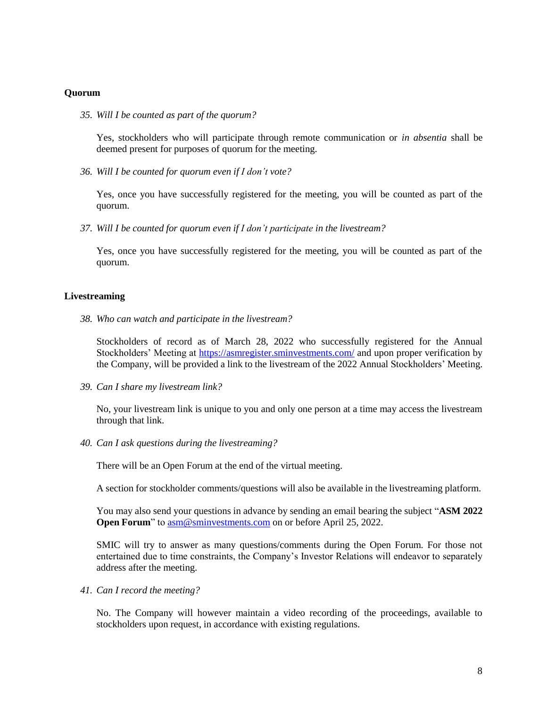#### **Quorum**

*35. Will I be counted as part of the quorum?*

Yes, stockholders who will participate through remote communication or *in absentia* shall be deemed present for purposes of quorum for the meeting.

*36. Will I be counted for quorum even if I don't vote?*

Yes, once you have successfully registered for the meeting, you will be counted as part of the quorum.

*37. Will I be counted for quorum even if I don't participate in the livestream?*

Yes, once you have successfully registered for the meeting, you will be counted as part of the quorum.

#### **Livestreaming**

*38. Who can watch and participate in the livestream?*

Stockholders of record as of March 28, 2022 who successfully registered for the Annual Stockholders' Meeting at<https://asmregister.sminvestments.com/> and upon proper verification by the Company, will be provided a link to the livestream of the 2022 Annual Stockholders' Meeting.

*39. Can I share my livestream link?*

No, your livestream link is unique to you and only one person at a time may access the livestream through that link.

*40. Can I ask questions during the livestreaming?*

There will be an Open Forum at the end of the virtual meeting.

A section for stockholder comments/questions will also be available in the livestreaming platform.

You may also send your questions in advance by sending an email bearing the subject "**ASM 2022 Open Forum**" to  $\frac{asm@sminvestments.com}{am@sminvestments.com}$  $\frac{asm@sminvestments.com}{am@sminvestments.com}$  $\frac{asm@sminvestments.com}{am@sminvestments.com}$  on or before April 25, 2022.

SMIC will try to answer as many questions/comments during the Open Forum. For those not entertained due to time constraints, the Company's Investor Relations will endeavor to separately address after the meeting.

*41. Can I record the meeting?*

No. The Company will however maintain a video recording of the proceedings, available to stockholders upon request, in accordance with existing regulations.